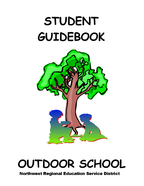# **STUDENT** GUIDEBOOK



## OUTDOOR SCHOOL

**Northwest Regional Education Service District**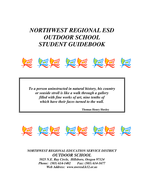## *NORTHWEST REGIONAL ESD OUTDOOR SCHOOL STUDENT GUIDEBOOK*



*To a person uninstructed in natural history, his country or seaside stroll is like a walk through a gallery filled with fine works of art, nine tenths of which have their faces turned to the wall.* 

 **Thomas Henry Huxley** 



*NORTHWEST REGIONAL EDUCATION SERVICE DISTRICT OUTDOOR SCHOOL 5825 N.E. Ray Circle, Hillsboro, Oregon 97124 Phone: (503) 614-1402 Fax: (503) 614-1677 Web Address: www.nwresd.k12.or.us*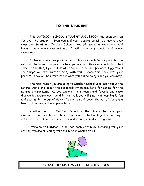#### TO THE STUDENT

This OUTDOOR SCHOOL STUDENT GUIDEBOOK has been written for you, the student. Soon you and your classmates will be leaving your classroom to attend Outdoor School. You will spend a week living and learning in a whole new setting. It will be a very special and unique experience.

To learn as much as possible and to have as much fun as possible, you will want to be well prepared before you arrive. This Guidebook describes some of the things you will do at Outdoor School and provides suggestions for things you may want to bring with you. Share this book with your parents. They will be interested in what you will be doing while you are away.

The main reason you are going to Outdoor School is to learn about the natural world and about the responsibility people have for caring for the natural environment. As you explore the streams and forests and make discoveries around each bend in the trail, you will find that learning is fun and exciting in the out-of-doors. You will also discover the out-of-doors is a beautiful and inspirational place to be.

Another part of Outdoor School is the chance for you, your classmates and new friends from other classes to live together and enjoy activities such as outdoor recreation and evening campfire programs.

Everyone at Outdoor School has been very busy preparing for your arrival. We are all looking forward to your week with us!



#### PLEASE DO NOT WRITE IN THIS BOOK!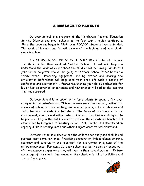#### A MESSAGE TO PARENTS

Outdoor School is a program of the Northwest Regional Education Service District and most schools in the four-county region participate. Since the program began in 1969, over 200,000 students have attended. This week of learning and fun will be one of the highlights of your child's years in school.

The OUTDOOR SCHOOL STUDENT GUIDEBOOK is to help prepare the students for their week at Outdoor School. It will also help you understand the kinds of experiences the children will be having. While it is your son or daughter who will be going to Outdoor School, it can become a family event. Preparing equipment, packing clothes and sharing the anticipation beforehand will help send your child off with a feeling of confidence and excitement. Afterwards, sharing your child's enthusiasm for his or her discoveries, experiences and new friends will add to the learning that has occurred.

Outdoor School is an opportunity for students to spend a few days studying in the out-of-doors. It is not a week away from school, rather it is a week of school in a new setting, one in which plants, animals, streams and fields become the materials for study. The focus of the program is the environment, ecology and other natural sciences. Lessons are designed to help your child gain the skills needed to achieve the educational benchmarks established by Oregon's 21<sup>st</sup> Century Schools Act. Emphasis is also placed on applying skills in reading, math and other subject areas to real situations.

Outdoor School is a place where the children can apply social skills and perhaps learn some new ones. Practicing cooperation, independence, sharing, courtesy and punctuality are important for everyone's enjoyment of the entire experience. For many, Outdoor School may be the only extended outof-the-classroom experience they will have in their school careers. To take advantage of the short time available, the schedule is full of activities and the pacing is quick.

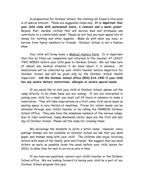In preparation for Outdoor School, the clothing list found in this book is of special interest. These are suggested items only. It is important that your child come with waterproof boots, a raincoat and a warm jacket. Beyond that, durable clothes that will survive mud and strenuous use contribute to a comfortable week. Please do not feel you must spend lots of money for clothing and other supplies. Make do with what you have, or borrow from family members or friends. Outdoor School is not a fashion show.

Your child will bring home a Medical History Form. It is important that this be filled out completely and returned to the teacher AT LEAST TWO WEEKS before your child goes to Outdoor School. We can take care of almost any medical situation if we know about it in advance. All medications will be collected by your child's teacher before departure for Outdoor School and will be given only by the Outdoor School Health Supervisor. Call the Outdoor School office (503) 614-1402 if your child has any severe dietary restrictions, allergies or severe special needs.

If you would like to visit your child at Outdoor School, please call the camp directly to let them know you are coming. If you are interested in joining your child for a meal, you must call 24 hours in advance to make a reservation. They will take reservations on a first come, first serve basis as seating space is very limited at mealtime. Prices for visitor meals can be obtained through your child's teacher or by calling the NWRESD Outdoor School Office. They also have the telephone numbers of the various camps. Due to tidal conditions, Camp Westwind visitor days are the first and last day of Outdoor School. Please call the camp for crossing times.

We encourage the students to write a letter home. However, since postage stamps are not available at Outdoor School we ask that you send paper and stamps along with your child. The children also enjoy receiving letters with news of the family, pets and friends. We suggest that you send letters as early as possible (even the week before your child leaves for ODS), to allow time for mail to arrive on site in time.

If you have any questions, contact your child's teacher or the Outdoor School office. We are looking forward to having your child be a part of our Outdoor School program this year.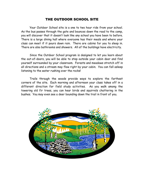#### THE OUTDOOR SCHOOL SITE

Your Outdoor School site is a one to two hour ride from your school. As the bus passes through the gate and bounces down the road to the camp, you will discover that it doesn't look like any school you have been to before. There is a large dining hall where everyone has their meals and where your class can meet if it pours down rain. There are cabins for you to sleep in. There are also bathrooms and showers. All of the buildings have electricity.

Since the Outdoor School program is designed to let you learn about the out-of-doors, you will be able to step outside your cabin door and find yourself surrounded by your classroom. Forests and meadows stretch off in all directions and a stream may flow right by your cabin. You can fall asleep listening to the water rushing over the rocks!

Trails through the woods provide ways to explore the farthest corners of the site. Each morning and afternoon your class takes off in a different direction for field study activities. As you walk among the towering old fir trees, you can hear birds and squirrels chattering in the bushes. You may even see a deer bounding down the trail in front of you.

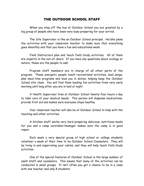#### THE OUTDOOR SCHOOL STAFF

When you step off the bus at Outdoor School you are greeted by a big group of people who have been very busy preparing for your arrival.

The Site Supervisor is like an Outdoor School principal. He/she plans the activities with your classroom teacher to make sure that everything goes smoothly and that you have a fun and educational week.

Field Instructors plan and teach field study activities. All of them are experts in the out-of-doors. If you have any questions about ecology or nature, these are the people to ask!

Program staff members are in charge of all other parts of the program. These energetic people teach recreational activities, lead songs, plan meal-time programs and lead you in duties, helping keep the Outdoor School site clean. You will find them leading fun activities from very early morning until long after you are in bed at night.

A Health Supervisor lives at Outdoor School twenty-four hours a day to take care of your medical needs. This person will dispense medications, provide first aid and makes sure everyone stays healthy.

Your classroom teacher will also be at Outdoor School to help with the teaching and other activities.

A kitchen staff works very hard preparing delicious, nutritious meals for you and a camp caretaker/manager makes sure the camp is in good repair.

Each week a very special group of high school or college students volunteer a week of their time to be Outdoor School Counselors. They will be living in and supervising your cabins, and they will help teach field study activities.

One of the special features of Outdoor School is the large number of adult staff and counselors. This means that many of the activities can be conducted in small groups. It isn't often you get a chance to be in a class with one teacher and only 8 students.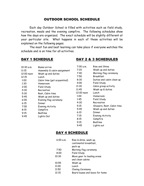#### OUTDOOR SCHOOL SCHEDULE

Each day Outdoor School is filled with activities such as field study, recreation, meals and the evening campfire. The following schedules show how the days are organized. The exact schedule will be slightly different at your particular site. What happens in each of these activities will be explained on the following pages.

The most fun and best learning can take place if everyone watches the schedule and is on time for all activities.

#### DAY 1 SCHEDULE

| 10:30 a.m. | Buses arrive                |
|------------|-----------------------------|
| 11:15      | Assembly & cabin assignment |
| 12:00 noon | Wash up and duties          |
| 12:15      | Lunch                       |
| 1:00       | Cabin time (get acquainted) |
| 1:30       | Homeroom                    |
| 2:00       | Field Study                 |
| 4:30       | Recreation                  |
| 5:30       | Rest, Cabin time            |
| 5:45       | Wash up and duties          |
| 6:00       | Evening flag ceremony       |
| 6:15       | Dinner                      |
| 7:00       | Evening Activity            |
| 8:15       | Campfire                    |
| 9:15       | Bedtime                     |
| 9:45       | Lights Out                  |
|            |                             |

#### DAY 2 & 3 SCHEDULES

| 7:00 a.m.  | Rise and Shine            |  |
|------------|---------------------------|--|
| 7:20       | Wash up and duties        |  |
| 7:40       | Morning flag ceremony     |  |
| 7:50       | Breakfast                 |  |
| 8:30       | Duties and cabin clean up |  |
| 9:00       | Field Study               |  |
| 11:30      | Cabin group activity      |  |
| 11:45      | Wash up & duties          |  |
| 12:00 noon | Lunch                     |  |
| 1:00       | Homeroom                  |  |
| 1:45       | Field Study               |  |
| 4:30       | Recreation                |  |
| 5:15       | Showers, Rest, Cabin time |  |
| 5:45       | Wash up and duties        |  |
| 6:10       | Dinner                    |  |
| 7:15       | Evening Activity          |  |
| 8:15       | Campfire                  |  |
| 9:15       | Bedtime                   |  |
| 9:45       | Lights out                |  |

#### DAY 4 SCHEDULE

| 6:00 a.m. | Rise & shine, wash up,<br>continental breakfast,<br>pack up |
|-----------|-------------------------------------------------------------|
| 7:50      | Morning flag ceremony                                       |
| 8:00      | Field Study                                                 |
| 10:30     | Move gear to loading areas<br>and clean cabins              |
| 10:55     | Wash up                                                     |
| 11:00     | Lunch                                                       |
| 11:50     | Closing Ceremony                                            |
| 12:15     | Board buses and leave for home                              |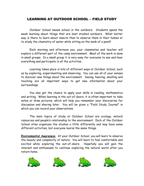#### LEARNING AT OUTDOOR SCHOOL – FIELD STUDY

Outdoor School means school in the outdoors. Students spend the week learning about things that are best studied outdoors. What better way is there to learn about insects than to observe them in their homes or to study the chemistry of water while sitting on the bank of a pond?

Each morning and afternoon you, your classmates and teacher will explore a different part of the camp environment. Most of the work is done in small groups. In a small group it is very easy for everyone to see and hear everything and participate in all the activities.

Learning takes place in lots of different ways at Outdoor School, such as by exploring, experimenting and observing. You can use all of your senses to discover new things about the environment. Seeing, hearing, smelling and touching are all important ways to get new information about your surroundings.

You also get the chance to apply your skills in reading, mathematics and writing. When learning in the out-of-doors, it is often important to take notes or draw pictures, which will help you remember your discoveries for discussion and sharing later. You will be given a "Field Study Journal" in which you can record your observations.

The main topics of study at Outdoor School are ecology, natural resources and people's relationship to the environment. Each of the Outdoor School sites organizes the studies a little differently and may have some different activities, but everyone learns the same things.

Environmental Awareness. At your Outdoor School, you will learn to observe the beauty and complexity of nature. You will learn to feel comfortable and excited while exploring the out-of-doors. Hopefully you will gain the interest and enthusiasm to continue exploring the natural world after you return home.







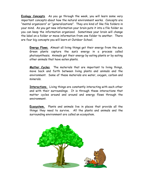Ecology Concepts. As you go through the week, you will learn some very important concepts about how the natural environment works. Concepts are "mental organizers" or "generalizations". They are kind of like file folders in your mind. As you get new information your brain puts it into a file folder so you can keep the information organized. Sometimes your brain will change the label on a folder or move information from one folder to another. There are four big concepts you will learn at Outdoor School.

Energy Flows. Almost all living things get their energy from the sun. Green plants capture the sun's energy in a process called photosynthesis. Animals get their energy by eating plants or by eating other animals that have eaten plants.

Matter Cycles. The materials that are important to living things, move back and forth between living plants and animals and the environment. Some of these materials are water, oxygen, carbon and minerals.

Interactions. Living things are constantly interacting with each other and with their surroundings. It is through these interactions that matter cycles around and around and energy flows through the environment.

Ecosystem. Plants and animals live in places that provide all the things they need to survive. All the plants and animals and the surrounding environment are called an ecosystem.

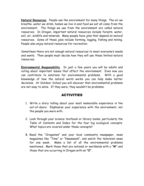Natural Resources. People use the environment for many things. The air we breathe, water we drink, homes we live in and food we eat all come from the environment. The things we use from the environment are called natural resources. In Oregon, important natural resources include forests, water, soil, air, wildlife and minerals. Many people have jobs that depend on natural resources. Some of these jobs include farming, logging, fishing and mining. People also enjoy natural resources for recreation.

Sometimes there are not enough natural resources to meet everyone's needs and wants. Then people must decide how they will use these limited natural resources.

Environmental Responsibility. In just a few years you will be adults and voting about important issues that affect the environment. Even now you can contribute to solutions for environmental problems. With a good knowledge of how the natural world works you can help make better decisions. At Outdoor School you will discover that environmental problems are not easy to solve. If they were, they wouldn't be problems.

#### ACTIVITIES

- 1. Write a story telling about your most memorable experience in the out-of-doors. Emphasize your experience with the environment, not the people you were with.
- 2. Look through your science textbook or library books, particularly the Table of Contents and Index for the four big ecological concepts. What topics are covered under these concepts?
- 3. Read the "Oregonian" and your local community newspaper, news magazines like "Time" or "Newsweek", and watch the television news for one week. Make a list of all the environmental problems mentioned. Mark those that are national or worldwide with a "W" and those that are occurring in Oregon with an "O".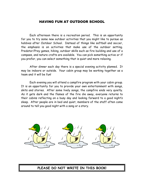#### HAVING FUN AT OUTDOOR SCHOOL

Each afternoon there is a recreation period. This is an opportunity for you to try some new outdoor activities that you might like to pursue as hobbies after Outdoor School. Instead of things like softball and soccer, the emphasis is on activities that make use of the outdoor setting. Predator/Prey games, hiking, outdoor skills such as fire building and use of a compass, and nature crafts are available. You can pick something active or if you prefer, you can select something that is quiet and more relaxing.

After dinner each day there is a special evening activity planned. It may be indoors or outside. Your cabin group may be working together as a team and it will be fun!

Each evening you will attend a campfire program with your cabin group. It is an opportunity for you to provide your own entertainment with songs, skits and stories. After some lively songs, the campfire ends very quietly. As it gets dark and the flames of the fire die away, everyone returns to their cabins reflecting on a busy day and looking forward to a good night's sleep. After people are in bed and quiet, members of the staff often come around to tell you good night with a song or a story.



PLEASE DO NOT WRITE IN THIS BOOK!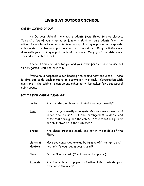#### LIVING AT OUTDOOR SCHOOL

#### CABIN LIVING GROUP

At Outdoor School there are students from three to five classes. You and a few of your classmates join with eight or ten students from the other classes to make up a cabin living group. Each group lives in a separate cabin under the leadership of one or two counselors. Many activities are done with your cabin group throughout the week. Many good friendships are formed with cabin mates.

There is time each day for you and your cabin partners and counselors to play games, visit and have fun.

Everyone is responsible for keeping the cabins neat and clean. There is time set aside each morning to accomplish this task. Cooperation with everyone in the cabin on clean-up and other activities makes for a successful cabin group.

#### HINTS FOR CABIN CLEAN-UP

- Bunks Are the sleeping bags or blankets arranged neatly?
- Gear Is all the gear neatly arranged? Are suitcases closed and under the bunks? Is the arrangement orderly and consistent throughout the cabin? Are clothes hung up or put on shelves or in the suitcases?
- Shoes Are shoes arranged neatly and not in the middle of the floor?
- Lights & Have you conserved energy by turning off the lights and Heaters heater? Is your cabin door closed?
- Floor Is the floor clean? (Check around bedposts.)
- Grounds Are there bits of paper and other litter outside your cabin or in the area?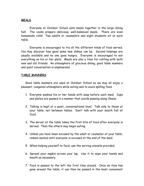#### MEALS

Everyone at Outdoor School eats meals together in the large dining hall. The cooks prepare delicious, well-balanced meals. There are even homemade rolls! Two adults or counselors and eight students sit at each table.

Everyone is encouraged to try all the different kinds of food served. You may discover how good some new dishes can be. Second helpings are usually available and no one goes hungry. Everyone is encouraged to eat everything on his or her plate. Meals are also a time for visiting with both new and old friends. An atmosphere of gracious dining, good table manners and quiet conversation is emphasized.

#### TABLE MANNERS

Good table manners are used at Outdoor School so we may all enjoy a pleasant, congenial atmosphere while eating and to avoid spilling food.

- 1. Everyone washes his or her hands with soap before each meal. Cups and plates are passed in a manner that avoids passing along illness.
- 2. Talking is kept at a quiet, conversational level. Talk only to those at your table, not between tables. Don't talk with your mouth full of food.
- 3. The server at the table takes the first bite of food after everyone is served. Then the others may begin eating.
- 4. Unless you have been excused by the adult or counselor at your table, remain seated until everyone is excused at the end of the meal.
- 5. When helping yourself to food, use the serving utensils provided.
- 6. Spread your napkin across your lap. Use it to wipe your hands and mouth as necessary.
- 7. Food is passed to the left the first time around. Once an item has gone around the table, it can then be passed in the most convenient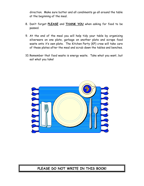direction. Make sure butter and all condiments go all around the table at the beginning of the meal.

- 8. Don't forget PLEASE and THANK YOU when asking for food to be passed.
- 9. At the end of the meal you will help tidy your table by organizing silverware on one plate, garbage on another plate and scrape food waste onto it's own plate. The Kitchen Party (KP) crew will take care of these plates after the meal and scrub down the tables and benches.
- 10. Remember that food waste is energy waste. Take what you want, but eat what you take!



#### PLEASE DO NOT WRITE IN THIS BOOK!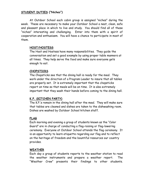#### STUDENT DUTIES ("Niches")

At Outdoor School each cabin group is assigned "niches" during the week. These are necessary to make your Outdoor School a neat, clean, safe and pleasant place in which to live and study. You should find all of these "niches" interesting and challenging. Enter into them with a spirit of cooperation and enthusiasm. You will have a chance to participate in most of them.

#### HOST/HOSTESS

The Host and Hostess have many responsibilities. They guide the conversation and set a good example by using proper table manners at all times. They help serve the food and make sure everyone gets enough to eat.

#### CHOPSTICKS

The Chopsticks see that the dining hall is ready for the meal. They work under the direction of a Program Leader to insure that all tables are properly set. It is extremely important that the chopsticks report on time so that meals will be on time. It is also extremely important that they wash their hands before coming to the dining hall.

#### K.P. (KITCHEN PARTY)

The K.P.'s remain in the dining hall after the meal. They will make sure that tables are cleaned and dishes are taken to the dishwashing room. Dishes are washed by Outdoor School kitchen staff.

#### FLAG

Each morning and evening a group of students known as the "Color Guard" are in charge of conducting a flag-raising or flag-lowering ceremony. Everyone at Outdoor School attends the flag ceremony. It is an opportunity to learn etiquette regarding our flag and to reflect on the heritage of freedom and the bountiful resources our country provides.

#### WEATHER

Each day a group of students reports to the weather station to read the weather instruments and prepare a weather report. The "Weather Crew" presents their findings to other students.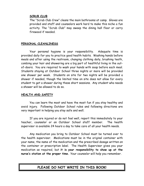#### SCRUB CLUB

The "Scrub Club Crew" cleans the main bathrooms at camp. Gloves are provided and staff and counselors work hard to make this niche a fun activity. The "Scrub Club" may sweep the dining hall floor or carry firewood if needed.

#### PERSONAL CLEANLINESS

Your personal hygiene is your responsibility. Adequate time is provided daily for you to practice good health habits. Washing hands before meals and after using the restroom, changing clothing daily, brushing teeth, combing your hair and showering are a big part of healthful living in the outof-doors. You are required to wash your hands with soap before each meal. Students staying at Outdoor School three nights or more will be provided one shower per week. Students on site for two nights will be provided a shower if needed, though the limited time on site does not allow for every student to get a shower during these short sessions. Any student who needs a shower will be allowed to do so.

#### HEALTH AND SAFETY

You can learn the most and have the most fun if you stay healthy and avoid injury. Following Outdoor School rules and following directions are very important in helping you stay safe and well.

If you are injured or do not feel well, report this immediately to your teacher, counselor or an Outdoor School staff member. The health supervisor is available 24 hours a day to take care of all your health needs.

Any medication you bring to Outdoor School must be turned over to the health supervisor. Medications must be in the original container with your name, the name of the medication and the prescribed dosage written on the container or prescription label. The Health Supervisor gives you your medication as required, but it is your responsibility to show up at the nurse's station at the proper time. Your counselor will help you remember.

### PLEASE DO NOT WRITE IN THIS BOOK!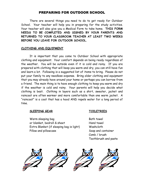#### PREPARING FOR OUTDOOR SCHOOL

 There are several things you need to do to get ready for Outdoor School. Your teacher will help you in preparing for the study activities. Your teacher will also give you a Medical Form to take home. THIS FORM NEEDS TO BE COMPLETED AND SIGNED BY YOUR PARENTS AND RETURNED TO YOUR CLASSROOM TEACHER AT LEAST TWO WEEKS BEFORE YOU LEAVE FOR OUTDOOR SCHOOL.

#### CLOTHING AND EQUIPMENT

 It is important that you come to Outdoor School with appropriate clothing and equipment. Your comfort depends on being ready regardless of the weather. You will be outside even if it is cold and rainy. If you are prepared with clothing that will keep you warm and dry, you can still have fun and learn a lot. Following is a suggested list of items to bring. Please do not put your family to any needless expense. Bring older clothing and equipment that you may already have around your home or perhaps you can borrow from a friend. The main thing is to have enough clothing to keep you warm and dry if the weather is cold and rainy. Your parents will help you decide what clothing is best. Clothing in layers such as a shirt, sweater, jacket and raincoat are often warmer and more comfortable than one warm jacket. A "raincoat" is a coat that has a hood AND repels water for a long period of time.

#### SLEEPING GEAR TOILETRIES

Warm sleeping bag Bath towel or blanket, bedroll & sheet Hand towel Extra Blanket (if sleeping bag is light) Washcloth Pillow and pillowcase Soap and container

 Comb / brush Toothbrush and paste

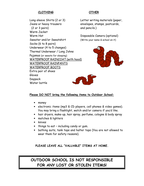#### CLOTHING OTHER

Long-sleeve Shirts (2 or 3) Letter writing materials (paper, Jeans or heavy trousers envelopes, stamps, postcards, (2 or 3 pairs) and pencils.) Warm Jacket Warm Hat **Disposable Camera (optional)** Sweater and/or Sweatshirt (Write your name & school on it) Socks (6 to 8 pairs) Underwear (4 to 5 changes) Thermal Underwear / Long Johns Pajamas (or sweats for sleeping) WATERPROOF RAINCOAT (with hood) WATERPROOF RAINPANTS WATERPROOF BOOTS Extra pair of shoes Gloves Daypack Water bottle





#### Please DO NOT bring the following items to Outdoor School:

- money
- electronic items (mp3 & CD players, cell phones & video games). You may bring a flashlight, watch and/or camera if you'd like.
- hair dryers, make-up, hair spray, perfume, cologne & body spray
- matches & lighters
- knives
- things to eat including candy or gum.
- bathing suits, tank tops and halter tops (You are not allowed to wear them for safety reasons).

PLEASE LEAVE ALL "VALUABLE" ITEMS AT HOME.

### OUTDOOR SCHOOL IS NOT RESPONSIBLE FOR ANY LOST OR STOLEN ITEMS!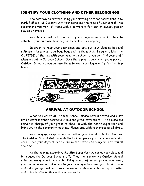#### IDENTIFY YOUR CLOTHING AND OTHER BELONGINGS

 The best way to prevent losing your clothing or other possessions is to mark EVERYTHING clearly with your name and the name of your school. We recommend you mark all items with a permanent felt pen or laundry pen or sew on a nametag.

 Your teacher will help you identify your luggage with tags or tape to attach to your suitcase, handbag and bedroll or sleeping bag.

 In order to keep your gear clean and dry, put your sleeping bag and suitcase in large plastic garbage bags and tie them shut. Be sure to label the OUTSIDE of the bag with your name and school so you can find your stuff when you get to Outdoor School. Save these plastic bags when you unpack at Outdoor School so you can use them to keep your luggage dry for the trip home.



### ARRIVAL AT OUTDOOR SCHOOL

 When you arrive at Outdoor School, please remain seated and quiet until a staff member boards your bus and gives instructions. The counselors remain in charge of your group to check in with the health supervisor and bring you to the community meeting. Please stay with your group at all times.

 Your baggage, sleeping bags and other gear should be left on the bus. The Outdoor School staff unloads the bus and places your gear in a safe, dry area. Keep your daypack, with a full water bottle and raingear, with you all the time.

 At the opening assembly, the Site Supervisor welcomes your class and introduces the Outdoor School staff. They then review the Outdoor School rules and assign you to your cabin living group. After you pick up your gear, your cabin counselor takes you to your living quarters, assigns a bunk to you and helps you get settled. Your counselor leads your cabin group to duties and to lunch. Please stay with your counselor.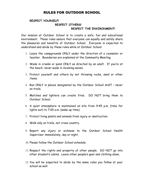#### RULES FOR OUTDOOR SCHOOL

#### RESPECT YOURSELF! RESPECT OTHERS! RESPECT THE ENVIRONMENT!

Our mission at Outdoor School is to create a safe, fun and educational environment. These rules assure that everyone can equally and safely share the pleasures and benefits of Outdoor School. Everyone is expected to understand and abide by these rules while at Outdoor School.

- 1. Leave the campgrounds ONLY under the direction of a counselor or teacher. Boundaries are explained at the Community Meeting.
- 2. Wade in creeks or pond ONLY as directed by an adult. If you're at the beach, never wade in incoming waves.
- 3. Protect yourself and others by not throwing rocks, sand or other items.
- 4. Run ONLY in places designated by the Outdoor School staff never on trails.
- 5. Matches and lighters can create fires. DO NOT bring them to Outdoor School.
- 6. A quiet atmosphere is maintained on site from 9:45 p.m. (time for lights out) to 7:00 a.m. (wake up time).
- 7. Protect living plants and animals from injury or destruction.
- 8. Walk only on trails, not cross-country.
- 9. Report any injury or sickness to the Outdoor School Health Supervisor immediately, day or night.
- 10. Please follow the Outdoor School schedule.
- 11. Respect the rights and property of other people. DO NOT go into other student's cabins. Leave other people's gear and clothing alone.
- 12. You will be expected to abide by the same rules you follow at your school as well.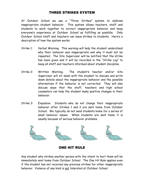#### THREE STRIKES SYSTEM

At Outdoor School we use a "Three Strikes" system to address inappropriate student behavior. This system allows teachers, staff and students to work together to correct inappropriate behavior and keep everyone's experience at Outdoor School as fulfilling as possible. Only Outdoor School staff and teachers can issue strikes to students. Here's a description of how the system works.

- Strike 1: Verbal Warning. This warning will help the student understand why their behavior was inappropriate and why it must not be repeated. The Site Supervisor will be notified that the strike has been given and it will be recorded in the "Strike Log" to keep all staff and teachers informed about student discipline.
- Strike 2: Written Warning. The student's teacher and/or Site Supervisor will sit down with the student to discuss and write down details about the inappropriate behavior and the possible alternatives if the behavior is not corrected. They will also discuss ways that the staff, teachers and high school counselors can help the student make positive changes in their behavior.
- Strike 3: Expulsion. Students who do not change their inappropriate behavior after Strikes 1 and 2 are sent home from Outdoor School. We typically do not send students home for a series of small behavior issues. When students are sent home it is usually because of serious behavior problems.



ONE HIT RULE

Any student who strikes another person with the intent to hurt them will be immediately sent home from Outdoor School. The One Hit Rule applies even if the student has not received any previous strikes for other inappropriate behavior. Violence of any kind is not tolerated at Outdoor School.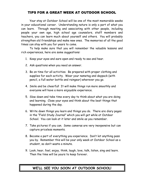#### TIPS FOR A GREAT WEEK AT OUTDOOR SCHOOL

 Your stay at Outdoor School will be one of the most memorable weeks in your educational career. Understanding nature is only a part of what you can learn. Through meeting and associating with other people, including people your own age, high school age counselors, staff members and teachers, you can learn much about yourself and others. You will probably strengthen old friendships and make new ones. The memories of all the good times can stay with you for years to come.

 To help make sure that you will remember the valuable lessons and rich experiences, here are some suggestions:

- 1. Keep your eyes and ears open and ready to see and hear.
- 2. Ask questions when you need an answer.
- 3. Be on time for all activities. Be prepared with proper clothing and supplies for each activity. Wear your nametag and daypack (with pencil, a full water bottle and raingear) wherever you go.
- 4. Smile and be cheerful! It will make things run more smoothly and everyone will have a more enjoyable experience.
- 5. Slow down and take time every day to think about what you are doing and learning. Close your eyes and think about the best things that happened during the day.
- 6. Write down things you learn and things you do. There are diary pages in the "Field Study Journal" which you will get while at Outdoor School. You can look at it later and smile as you remember.
- 7. Take pictures if you can. Some cameras are very inexpensive but can capture priceless moments.
- 8. Become a part of everything you experience. Don't let anything pass you by. Remember this will be your only week at Outdoor School as a student, so don't waste a minute.
- 9. Look, hear, feel, enjoy, think, laugh, love, talk, listen, sing and learn. Then the time will be yours to keep forever.

#### WE'LL SEE YOU SOON AT OUTDOOR SCHOOL!